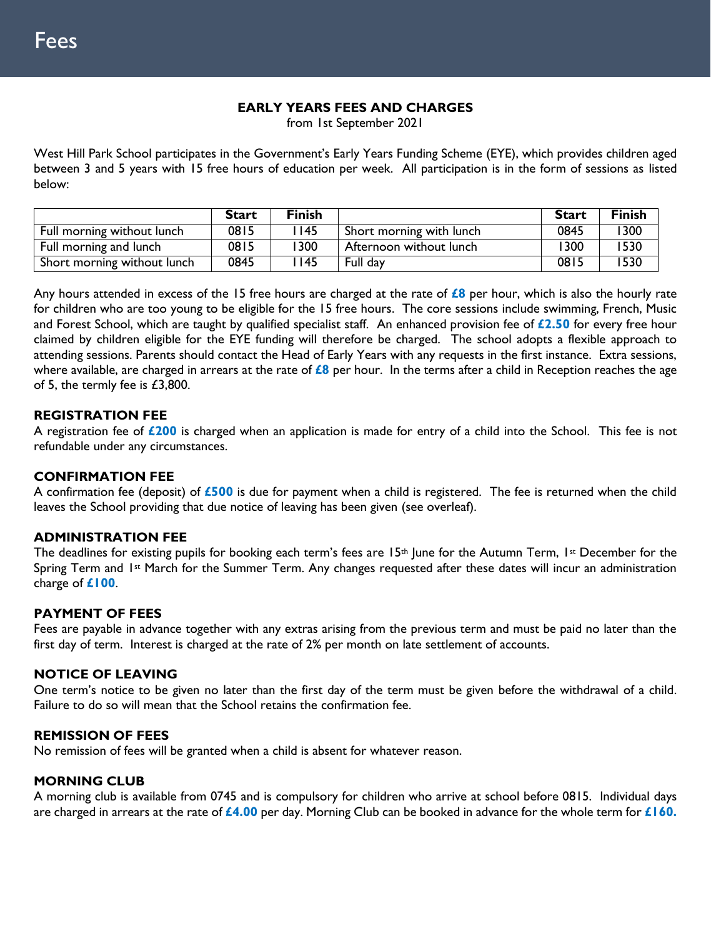### **EARLY YEARS FEES AND CHARGES**

from 1st September 2021

West Hill Park School participates in the Government's Early Years Funding Scheme (EYE), which provides children aged between 3 and 5 years with 15 free hours of education per week. All participation is in the form of sessions as listed below:

|                             | <b>Start</b> | <b>Finish</b> |                          | <b>Start</b> | Finish |
|-----------------------------|--------------|---------------|--------------------------|--------------|--------|
| Full morning without lunch  | 0815         | l 145         | Short morning with lunch | 0845         | '300   |
| Full morning and lunch      | 0815         | 1300          | Afternoon without lunch  | 1300         | 1530   |
| Short morning without lunch | 0845         | l 145         | Full day                 | 0815         | 1530   |

Any hours attended in excess of the 15 free hours are charged at the rate of **£8** per hour, which is also the hourly rate for children who are too young to be eligible for the 15 free hours. The core sessions include swimming, French, Music and Forest School, which are taught by qualified specialist staff. An enhanced provision fee of **£2.50** for every free hour claimed by children eligible for the EYE funding will therefore be charged. The school adopts a flexible approach to attending sessions. Parents should contact the Head of Early Years with any requests in the first instance. Extra sessions, where available, are charged in arrears at the rate of **£8** per hour. In the terms after a child in Reception reaches the age of 5, the termly fee is £3,800.

### **REGISTRATION FEE**

A registration fee of **£200** is charged when an application is made for entry of a child into the School. This fee is not refundable under any circumstances.

### **CONFIRMATION FEE**

A confirmation fee (deposit) of **£500** is due for payment when a child is registered. The fee is returned when the child leaves the School providing that due notice of leaving has been given (see overleaf).

### **ADMINISTRATION FEE**

The deadlines for existing pupils for booking each term's fees are 15<sup>th</sup> June for the Autumn Term, 1st December for the Spring Term and 1<sup>st</sup> March for the Summer Term. Any changes requested after these dates will incur an administration charge of **£100**.

### **PAYMENT OF FEES**

Fees are payable in advance together with any extras arising from the previous term and must be paid no later than the first day of term. Interest is charged at the rate of 2% per month on late settlement of accounts.

### **NOTICE OF LEAVING**

One term's notice to be given no later than the first day of the term must be given before the withdrawal of a child. Failure to do so will mean that the School retains the confirmation fee.

### **REMISSION OF FEES**

No remission of fees will be granted when a child is absent for whatever reason.

### **MORNING CLUB**

A morning club is available from 0745 and is compulsory for children who arrive at school before 0815. Individual days are charged in arrears at the rate of **£4.00** per day. Morning Club can be booked in advance for the whole term for **£160.**